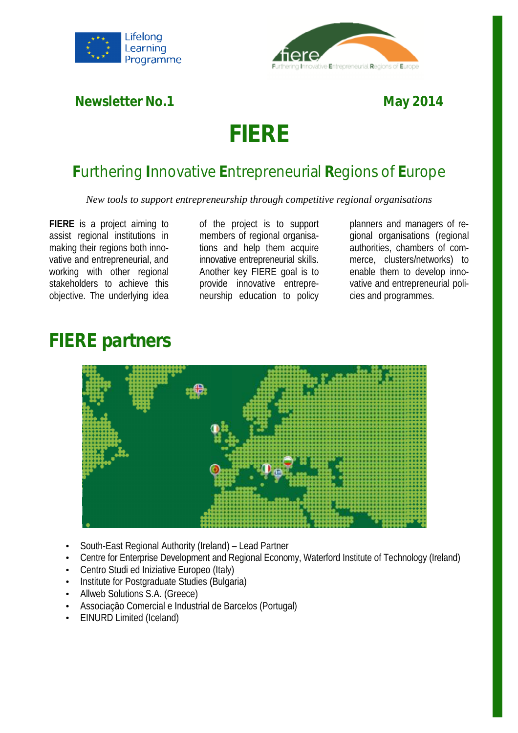



**Newsletter No.1** 

### **May**

# **FIERE**

### **Furthering Innovative Entrepreneurial Regions of Europe**

New tools to support entrepreneurship through competitive regional organisations

**FIERE** is a project aiming to assist regional institutions in making their regions both innovative and entrepreneurial, and working with other regional stakeholders to achieve this objective. The underlying idea

of the project is to support members of regional organisations and help them acquire innovative entrepreneurial skills. Another key FIERE goal is to provide innovative entrepreneurship education to policy

planners and managers of regional organisations (regional gional organisations (regional<br>authorities, chambers of commerce, clusters/networks) to enable them to develop innovative and entrepreneurial policies and programmes.

## **FIERE partners**



- South-East Regional Authority (Ireland) Lead Partner
- Centre for Enterprise Development and Regional Economy, Waterford Institute of Technology (Ireland)
- Centro Studi ed Iniziative Europeo (Italy)
- Institute for Postgraduate Studies (Bulgaria)
- Allweb Solutions S.A. (Greece)
- Associação Comercial e Industrial de Barcelos (Portugal)
- EINURD Limited (Iceland)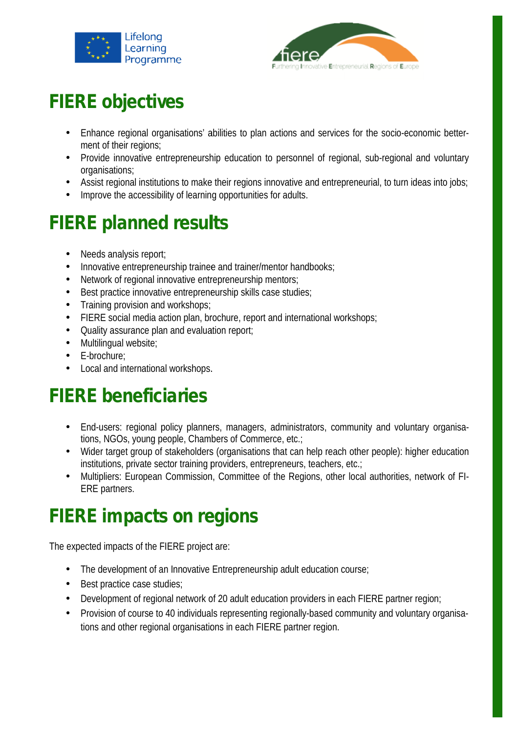



## **FIERE objectives**

- Enhance regional organisations' abilities to plan actions and services for the socio-economic betterment of their regions;
- Provide innovative entrepreneurship education to personnel of regional, sub-regional and voluntary organisations; • Provide innovative entrepreneurship education to personnel of regional, sub-regional and voluntary<br>organisations;<br>• Assist regional institutions to make their regions innovative and entrepreneurial, to turn ideas into jo
- 
- Assist regional institutions to make their regions innovative and<br>• Improve the accessibility of learning opportunities for adults.

## **FIERE planned results**

- Needs analysis report;
- Innovative entrepreneurship trainee and trainer/mentor handbooks;
- Network of regional innovative entrepreneurship mentors;
- Best practice innovative entrepreneurship skills case studies;
- Training provision and workshops;
- FIERE social media action plan, brochure, report and international workshops;
- Quality assurance plan and evaluation report;
- Multilingual website;
- E-brochure;
- Local and international workshops.

## **FIERE beneficiaries**

- Local and international workshops.<br>
ERE beneficiaries<br>
 End-users: regional policy planners, managers, administrators, community and voluntary organisations, NGOs, young people, Chambers of Commerce, etc.;
- Wider target group of stakeholders (organisations that can help reach other people): higher education institutions, private sector training providers, entrepreneurs, teachers, etc.; institutions, private sector training providers, entrepreneurs, teachers, etc.;
- Multipliers: European Commission, Committee of the Regions, other local authorities, network of FI-ERE partners.

## **FIERE impacts on regions regions**

The expected impacts of the FIERE project are:

- The development of an Innovative Entrepreneurship adult education course;
- Best practice case studies;
- Development of regional network of 20 adult education providers in each FIERE partner region;
- Provision of course to 40 individuals representing regionally-based community and voluntary organisations and other regional organisations in each FIERE partner region.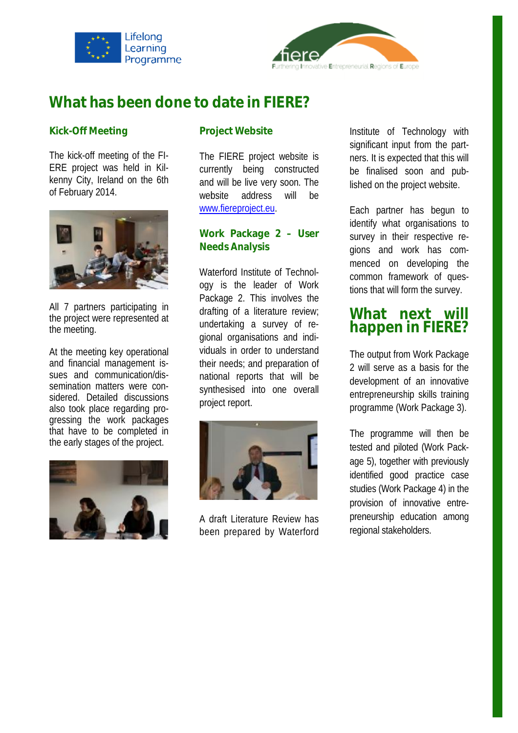



### **What has been done to date in FIERE?**

#### **Kick-Off Meeting**

The kick-off meeting of the FI-ERE project was held in Kilkenny City, Ireland on the 6th of February 2014.



All 7 partners participating in the project were represented at the meeting.

At the meeting key operational and financial management issues and communication/dissemination matters were considered. Detailed discussions also took place regarding progressing the work packages that have to be completed in the early stages of the project.



#### **Project Website**

The FIERE project website is FIERE currently being constructed and will be live very soon. The website address will be www.fiereproject.eu [www.fiereproject.eu.](http://www.fiereproject.eu) will

#### **Work Package 2 – User Needs Analysis Needs**

Waterford Institute of Technology is the leader of Work Package 2. This involves the drafting of a literature review; undertaking a survey of r gional organisations and individuals in order to understand their needs; and preparation of national reports that will be synthesised into one overall project report. ackage 2. This involves the<br>rafting of a literature review;<br>ndertaking a survey of re-Project Website<br>
The FIERE project website is<br>
significant input from the part-<br>
currently being constructed<br>
be finalised soon and pub-<br>
and will be live very soon. The<br>
lished on the project website.<br>
www.fiereproject.eu



A draft Literature Review has been prepared by Waterford

significant input from the partners. It is expected that this will ners. It is expected that this will<br>be finalised soon and published on the project website.

Each partner has begun to identify what organisations to survey in their respective regions and work has commenced on developing the developingcommon framework of questions that will form the survey. the project website.<br>
rtner has begun to<br>
what organisations to<br>
their respective re-

#### **What next will happen i in FIERE?**

The output from Work Package 2 will serve as a basis for the development of an innovative entrepreneurship skills training<br>programme (Work Package 3). programme (Work Package 3)

The programme will then be tested and piloted (Work Package 5), together with previously together identified good practice case studies (Work Package 4) in the provision of innovative entrepreneurship education among regional stakeholders.